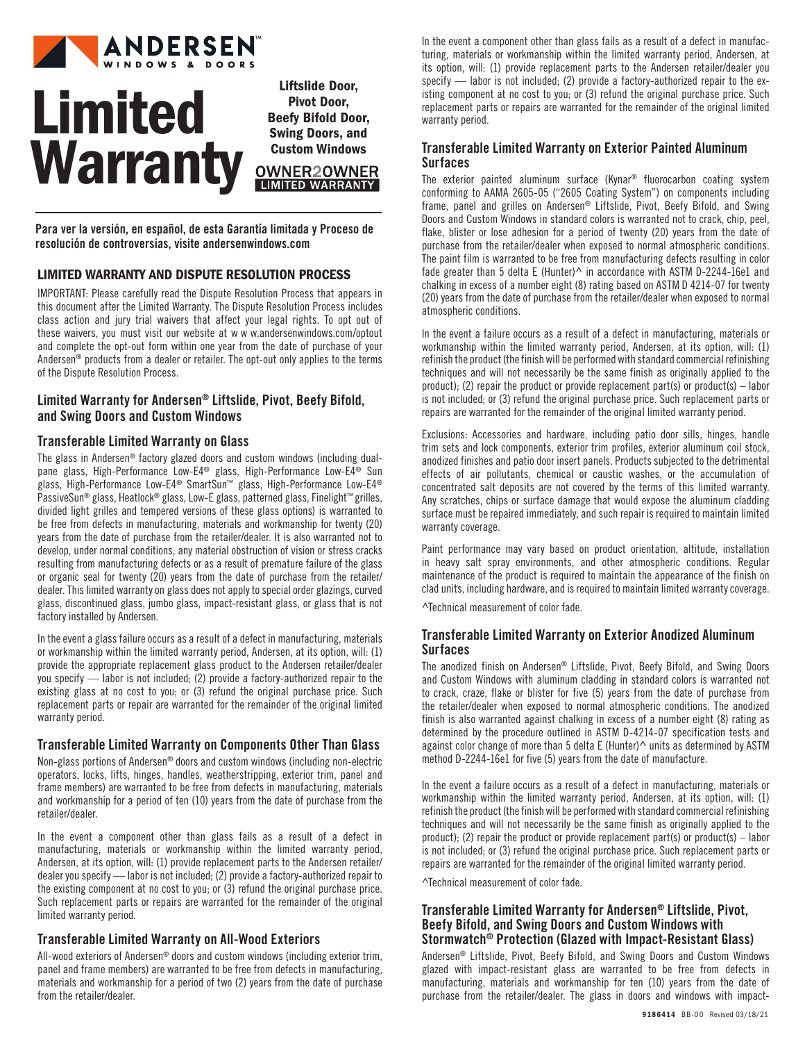

# Limited **Warranty**

Liftslide Door, Pivot Door, Beefy Bifold Door, Swing Doors, and Custom Windows **OWNER2OWNER LIMITED WARRANTY** 

Para ver la versión, en español, de esta Garantía limitada y Proceso de resolución de controversias, visite andersenwindows.com

# LIMITED WARRANTY AND DISPUTE RESOLUTION PROCESS

IMPORTANT: Please carefully read the Dispute Resolution Process that appears in this document after the Limited Warranty. The Dispute Resolution Process includes class action and jury trial waivers that affect your legal rights. To opt out of these waivers, you must visit our website at w w w.andersenwindows.com/optout and complete the opt-out form within one year from the date of purchase of your Andersen® products from a dealer or retailer. The opt-out only applies to the terms of the Dispute Resolution Process.

# Limited Warranty for Andersen® Liftslide, Pivot, Beefy Bifold, and Swing Doors and Custom Windows

# Transferable Limited Warranty on Glass

The glass in Andersen® factory glazed doors and custom windows (including dualpane glass, High-Performance Low-E4® glass, High-Performance Low-E4® Sun glass, High-Performance Low-E4® SmartSun™ glass, High-Performance Low-E4® PassiveSun® glass, Heatlock® glass, Low-E glass, patterned glass, Finelight™ grilles, divided light grilles and tempered versions of these glass options) is warranted to be free from defects in manufacturing, materials and workmanship for twenty (20) years from the date of purchase from the retailer/dealer. It is also warranted not to develop, under normal conditions, any material obstruction of vision or stress cracks resulting from manufacturing defects or as a result of premature failure of the glass or organic seal for twenty (20) years from the date of purchase from the retailer/ dealer. This limited warranty on glass does not apply to special order glazings, curved glass, discontinued glass, jumbo glass, impact-resistant glass, or glass that is not factory installed by Andersen.

In the event a glass failure occurs as a result of a defect in manufacturing, materials or workmanship within the limited warranty period, Andersen, at its option, will: (1) provide the appropriate replacement glass product to the Andersen retailer/dealer you specify — labor is not included; (2) provide a factory-authorized repair to the existing glass at no cost to you; or (3) refund the original purchase price. Such replacement parts or repair are warranted for the remainder of the original limited warranty period.

# Transferable Limited Warranty on Components Other Than Glass

Non-glass portions of Andersen® doors and custom windows (including non-electric operators, locks, lifts, hinges, handles, weatherstripping, exterior trim, panel and frame members) are warranted to be free from defects in manufacturing, materials and workmanship for a period of ten (10) years from the date of purchase from the retailer/dealer.

In the event a component other than glass fails as a result of a defect in manufacturing, materials or workmanship within the limited warranty period, Andersen, at its option, will: (1) provide replacement parts to the Andersen retailer/ dealer you specify — labor is not included; (2) provide a factory-authorized repair to the existing component at no cost to you; or (3) refund the original purchase price. Such replacement parts or repairs are warranted for the remainder of the original limited warranty period.

# Transferable Limited Warranty on All-Wood Exteriors

All-wood exteriors of Andersen® doors and custom windows (including exterior trim, panel and frame members) are warranted to be free from defects in manufacturing, materials and workmanship for a period of two (2) years from the date of purchase from the retailer/dealer.

In the event a component other than glass fails as a result of a defect in manufacturing, materials or workmanship within the limited warranty period, Andersen, at its option, will: (1) provide replacement parts to the Andersen retailer/dealer you specify — labor is not included; (2) provide a factory-authorized repair to the existing component at no cost to you; or (3) refund the original purchase price. Such replacement parts or repairs are warranted for the remainder of the original limited warranty period.

# Transferable Limited Warranty on Exterior Painted Aluminum Surfaces

The exterior painted aluminum surface (Kynar® fluorocarbon coating system conforming to AAMA 2605-05 ("2605 Coating System") on components including frame, panel and grilles on Andersen® Liftslide, Pivot, Beefy Bifold, and Swing Doors and Custom Windows in standard colors is warranted not to crack, chip, peel, flake, blister or lose adhesion for a period of twenty (20) years from the date of purchase from the retailer/dealer when exposed to normal atmospheric conditions. The paint film is warranted to be free from manufacturing defects resulting in color fade greater than 5 delta E (Hunter)^ in accordance with ASTM D-2244-16e1 and chalking in excess of a number eight (8) rating based on ASTM D 4214-07 for twenty (20) years from the date of purchase from the retailer/dealer when exposed to normal atmospheric conditions.

In the event a failure occurs as a result of a defect in manufacturing, materials or workmanship within the limited warranty period, Andersen, at its option, will: (1) refinish the product (the finish will be performed with standard commercial refinishing techniques and will not necessarily be the same finish as originally applied to the product); (2) repair the product or provide replacement part(s) or product(s)  $-$  labor is not included; or (3) refund the original purchase price. Such replacement parts or repairs are warranted for the remainder of the original limited warranty period.

Exclusions: Accessories and hardware, including patio door sills, hinges, handle trim sets and lock components, exterior trim profiles, exterior aluminum coil stock, anodized finishes and patio door insert panels. Products subjected to the detrimental effects of air pollutants, chemical or caustic washes, or the accumulation of concentrated salt deposits are not covered by the terms of this limited warranty. Any scratches, chips or surface damage that would expose the aluminum cladding surface must be repaired immediately, and such repair is required to maintain limited warranty coverage.

Paint performance may vary based on product orientation, altitude, installation in heavy salt spray environments, and other atmospheric conditions. Regular maintenance of the product is required to maintain the appearance of the finish on clad units, including hardware, and is required to maintain limited warranty coverage.

^Technical measurement of color fade.

## Transferable Limited Warranty on Exterior Anodized Aluminum **Surfaces**

The anodized finish on Andersen® Liftslide, Pivot, Beefy Bifold, and Swing Doors and Custom Windows with aluminum cladding in standard colors is warranted not to crack, craze, flake or blister for five (5) years from the date of purchase from the retailer/dealer when exposed to normal atmospheric conditions. The anodized finish is also warranted against chalking in excess of a number eight (8) rating as determined by the procedure outlined in ASTM D-4214-07 specification tests and against color change of more than 5 delta E (Hunter) $\wedge$  units as determined by ASTM method D-2244-16e1 for five (5) years from the date of manufacture.

In the event a failure occurs as a result of a defect in manufacturing, materials or workmanship within the limited warranty period, Andersen, at its option, will: (1) refinish the product (the finish will be performed with standard commercial refinishing techniques and will not necessarily be the same finish as originally applied to the product); (2) repair the product or provide replacement part(s) or product(s) – labor is not included; or (3) refund the original purchase price. Such replacement parts or repairs are warranted for the remainder of the original limited warranty period.

^Technical measurement of color fade.

# Transferable Limited Warranty for Andersen® Liftslide, Pivot, Beefy Bifold, and Swing Doors and Custom Windows with Stormwatch® Protection (Glazed with Impact-Resistant Glass)

Andersen® Liftslide, Pivot, Beefy Bifold, and Swing Doors and Custom Windows glazed with impact-resistant glass are warranted to be free from defects in manufacturing, materials and workmanship for ten (10) years from the date of purchase from the retailer/dealer. The glass in doors and windows with impact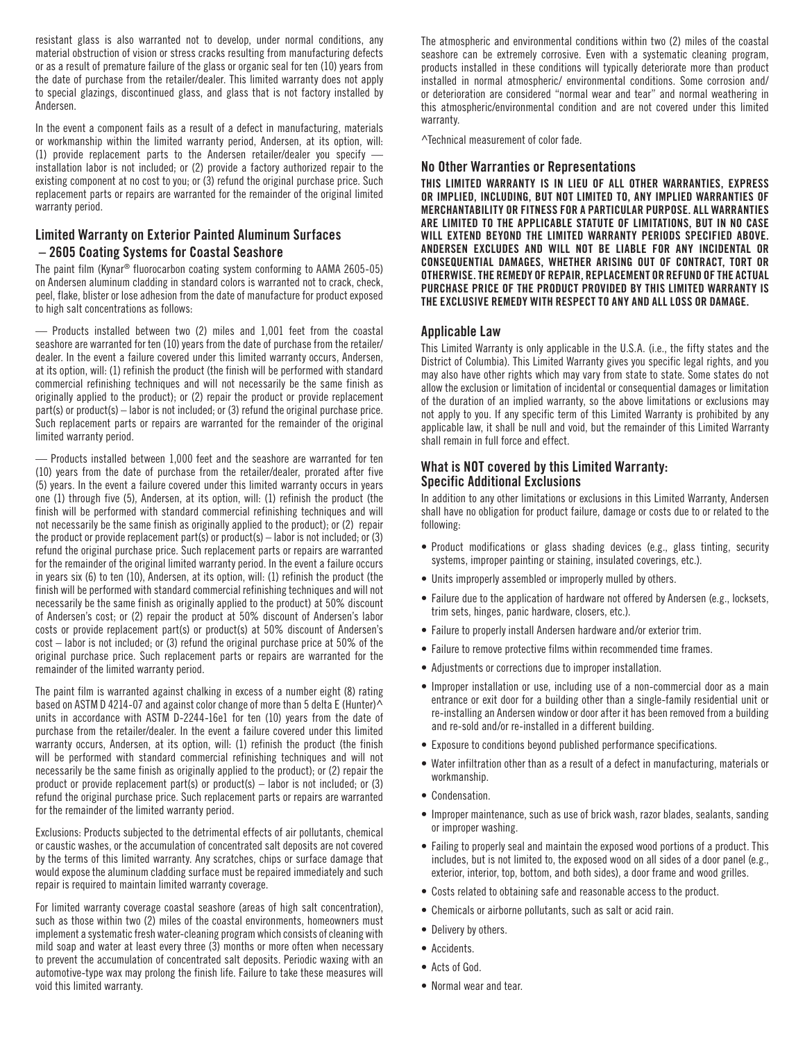resistant glass is also warranted not to develop, under normal conditions, any material obstruction of vision or stress cracks resulting from manufacturing defects or as a result of premature failure of the glass or organic seal for ten (10) years from the date of purchase from the retailer/dealer. This limited warranty does not apply to special glazings, discontinued glass, and glass that is not factory installed by Andersen.

In the event a component fails as a result of a defect in manufacturing, materials or workmanship within the limited warranty period, Andersen, at its option, will: (1) provide replacement parts to the Andersen retailer/dealer you specify installation labor is not included; or (2) provide a factory authorized repair to the existing component at no cost to you; or (3) refund the original purchase price. Such replacement parts or repairs are warranted for the remainder of the original limited warranty period.

# Limited Warranty on Exterior Painted Aluminum Surfaces – 2605 Coating Systems for Coastal Seashore

The paint film (Kynar® fluorocarbon coating system conforming to AAMA 2605-05) on Andersen aluminum cladding in standard colors is warranted not to crack, check, peel, flake, blister or lose adhesion from the date of manufacture for product exposed to high salt concentrations as follows:

— Products installed between two (2) miles and 1,001 feet from the coastal seashore are warranted for ten (10) years from the date of purchase from the retailer/ dealer. In the event a failure covered under this limited warranty occurs, Andersen, at its option, will: (1) refinish the product (the finish will be performed with standard commercial refinishing techniques and will not necessarily be the same finish as originally applied to the product); or (2) repair the product or provide replacement part(s) or product(s) – labor is not included; or (3) refund the original purchase price. Such replacement parts or repairs are warranted for the remainder of the original limited warranty period.

— Products installed between 1,000 feet and the seashore are warranted for ten (10) years from the date of purchase from the retailer/dealer, prorated after five (5) years. In the event a failure covered under this limited warranty occurs in years one (1) through five (5), Andersen, at its option, will: (1) refinish the product (the finish will be performed with standard commercial refinishing techniques and will not necessarily be the same finish as originally applied to the product); or (2) repair the product or provide replacement part(s) or product(s) – labor is not included; or (3) refund the original purchase price. Such replacement parts or repairs are warranted for the remainder of the original limited warranty period. In the event a failure occurs in years six (6) to ten (10), Andersen, at its option, will: (1) refinish the product (the finish will be performed with standard commercial refinishing techniques and will not necessarily be the same finish as originally applied to the product) at 50% discount of Andersen's cost; or (2) repair the product at 50% discount of Andersen's labor costs or provide replacement part(s) or product(s) at 50% discount of Andersen's cost – labor is not included; or (3) refund the original purchase price at 50% of the original purchase price. Such replacement parts or repairs are warranted for the remainder of the limited warranty period.

The paint film is warranted against chalking in excess of a number eight (8) rating based on ASTM D 4214-07 and against color change of more than 5 delta E (Hunter)<sup>^</sup> units in accordance with ASTM D-2244-16e1 for ten (10) years from the date of purchase from the retailer/dealer. In the event a failure covered under this limited warranty occurs, Andersen, at its option, will: (1) refinish the product (the finish will be performed with standard commercial refinishing techniques and will not necessarily be the same finish as originally applied to the product); or (2) repair the product or provide replacement part(s) or product(s)  $-$  labor is not included; or (3) refund the original purchase price. Such replacement parts or repairs are warranted for the remainder of the limited warranty period.

Exclusions: Products subjected to the detrimental effects of air pollutants, chemical or caustic washes, or the accumulation of concentrated salt deposits are not covered by the terms of this limited warranty. Any scratches, chips or surface damage that would expose the aluminum cladding surface must be repaired immediately and such repair is required to maintain limited warranty coverage.

For limited warranty coverage coastal seashore (areas of high salt concentration), such as those within two (2) miles of the coastal environments, homeowners must implement a systematic fresh water-cleaning program which consists of cleaning with mild soap and water at least every three (3) months or more often when necessary to prevent the accumulation of concentrated salt deposits. Periodic waxing with an automotive-type wax may prolong the finish life. Failure to take these measures will void this limited warranty.

The atmospheric and environmental conditions within two (2) miles of the coastal seashore can be extremely corrosive. Even with a systematic cleaning program, products installed in these conditions will typically deteriorate more than product installed in normal atmospheric/ environmental conditions. Some corrosion and/ or deterioration are considered "normal wear and tear" and normal weathering in this atmospheric/environmental condition and are not covered under this limited warranty.

^Technical measurement of color fade.

### No Other Warranties or Representations

THIS LIMITED WARRANTY IS IN LIEU OF ALL OTHER WARRANTIES, EXPRESS OR IMPLIED, INCLUDING, BUT NOT LIMITED TO, ANY IMPLIED WARRANTIES OF MERCHANTABILITY OR FITNESS FOR A PARTICULAR PURPOSE. ALL WARRANTIES ARE LIMITED TO THE APPLICABLE STATUTE OF LIMITATIONS, BUT IN NO CASE WILL EXTEND BEYOND THE LIMITED WARRANTY PERIODS SPECIFIED ABOVE. ANDERSEN EXCLUDES AND WILL NOT BE LIABLE FOR ANY INCIDENTAL OR CONSEQUENTIAL DAMAGES, WHETHER ARISING OUT OF CONTRACT, TORT OR OTHERWISE. THE REMEDY OF REPAIR, REPLACEMENT OR REFUND OF THE ACTUAL PURCHASE PRICE OF THE PRODUCT PROVIDED BY THIS LIMITED WARRANTY IS THE EXCLUSIVE REMEDY WITH RESPECT TO ANY AND ALL LOSS OR DAMAGE.

### Applicable Law

This Limited Warranty is only applicable in the U.S.A. (i.e., the fifty states and the District of Columbia). This Limited Warranty gives you specific legal rights, and you may also have other rights which may vary from state to state. Some states do not allow the exclusion or limitation of incidental or consequential damages or limitation of the duration of an implied warranty, so the above limitations or exclusions may not apply to you. If any specific term of this Limited Warranty is prohibited by any applicable law, it shall be null and void, but the remainder of this Limited Warranty shall remain in full force and effect.

## What is NOT covered by this Limited Warranty: Specific Additional Exclusions

In addition to any other limitations or exclusions in this Limited Warranty, Andersen shall have no obligation for product failure, damage or costs due to or related to the following:

- Product modifications or glass shading devices (e.g., glass tinting, security systems, improper painting or staining, insulated coverings, etc.).
- Units improperly assembled or improperly mulled by others.
- Failure due to the application of hardware not offered by Andersen (e.g., locksets, trim sets, hinges, panic hardware, closers, etc.).
- Failure to properly install Andersen hardware and/or exterior trim.
- Failure to remove protective films within recommended time frames.
- Adjustments or corrections due to improper installation.
- Improper installation or use, including use of a non-commercial door as a main entrance or exit door for a building other than a single-family residential unit or re-installing an Andersen window or door after it has been removed from a building and re-sold and/or re-installed in a different building.
- Exposure to conditions beyond published performance specifications.
- Water infiltration other than as a result of a defect in manufacturing, materials or workmanship.
- Condensation.
- Improper maintenance, such as use of brick wash, razor blades, sealants, sanding or improper washing.
- Failing to properly seal and maintain the exposed wood portions of a product. This includes, but is not limited to, the exposed wood on all sides of a door panel (e.g., exterior, interior, top, bottom, and both sides), a door frame and wood grilles.
- Costs related to obtaining safe and reasonable access to the product.
- Chemicals or airborne pollutants, such as salt or acid rain.
- Delivery by others.
- Accidents.
- Acts of God.
- Normal wear and tear.